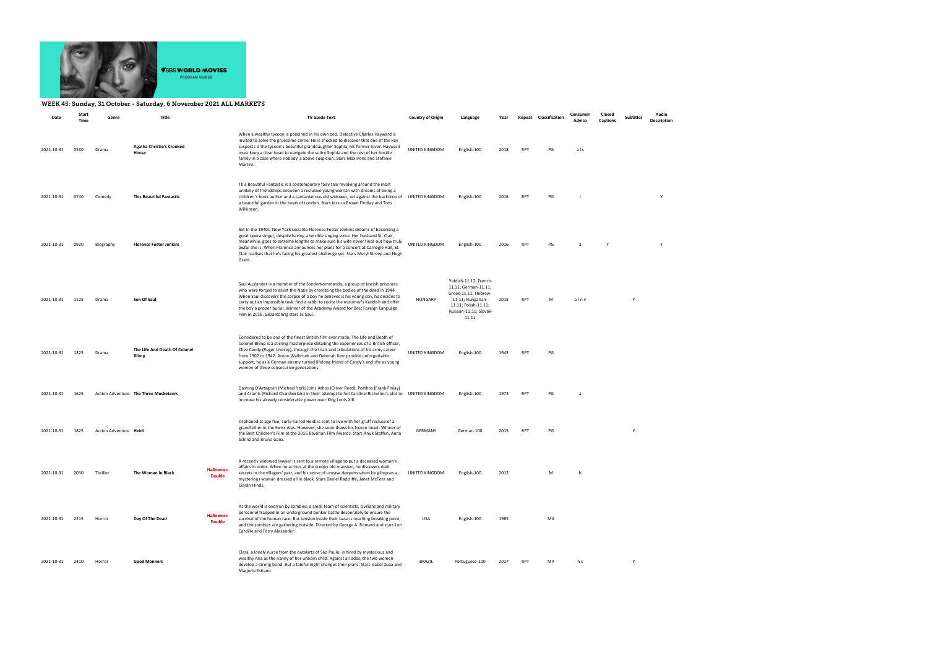

## WEEK 45: Sunday, 31 October - Saturday, 6 November 2021 ALL MARKETS

| Date       | Start<br><b>Time</b> | Genre                  | Title                                     | <b>TV Guide Text</b>              |                                                                                                                                                                                                                                                                                                                                                                                                                                                                                | <b>Country of Origin</b> | Language                                                                                                                                               | Year |            | Repeat Classification | Consumer<br>Advice | Closed<br><b>Captions</b> | <b>Subtitles</b> | Audio<br>Description |
|------------|----------------------|------------------------|-------------------------------------------|-----------------------------------|--------------------------------------------------------------------------------------------------------------------------------------------------------------------------------------------------------------------------------------------------------------------------------------------------------------------------------------------------------------------------------------------------------------------------------------------------------------------------------|--------------------------|--------------------------------------------------------------------------------------------------------------------------------------------------------|------|------------|-----------------------|--------------------|---------------------------|------------------|----------------------|
| 2021-10-31 | 0530                 | Drama                  | <b>Agatha Christie's Crooked</b><br>House |                                   | When a wealthy tycoon is poisoned in his own bed, Detective Charles Hayward is<br>invited to solve the gruesome crime. He is shocked to discover that one of the key<br>suspects is the tycoon's beautiful granddaughter Sophia, his former lover. Hayward<br>must keep a clear head to navigate the sultry Sophia and the rest of her hostile<br>family in a case where nobody is above suspicion. Stars Max Irons and Stefanie<br>Martini.                                   | UNITED KINGDOM           | English-100                                                                                                                                            | 2018 | <b>RPT</b> | PG                    | als                |                           |                  |                      |
| 2021-10-31 | 0740                 | Comedy                 | <b>This Beautiful Fantastic</b>           |                                   | This Beautiful Fantastic is a contemporary fairy tale revolving around the most<br>unlikely of friendships between a reclusive young woman with dreams of being a<br>children's book author and a cantankerous old widower, set against the backdrop of<br>a beautiful garden in the heart of London. Stars Jessica Brown Findlay and Tom<br>Wilkinson.                                                                                                                        | UNITED KINGDOM           | English-100                                                                                                                                            | 2016 | <b>RPT</b> | PG                    |                    |                           |                  | Y                    |
| 2021-10-31 | 0920                 | Biography              | <b>Florence Foster Jenkins</b>            |                                   | Set in the 1940s, New York socialite Florence Foster Jenkins dreams of becoming a<br>great opera singer, despite having a terrible singing voice. Her husband St. Clair,<br>meanwhile, goes to extreme lengths to make sure his wife never finds out how truly<br>awful she is. When Florence announces her plans for a concert at Carnegie Hall, St.<br>Clair realises that he's facing his greatest challenge yet. Stars Meryl Streep and Hugh<br>Grant.                     | UNITED KINGDOM           | English-100                                                                                                                                            | 2016 | <b>RPT</b> | PG                    |                    | Y                         |                  | Y                    |
| 2021-10-31 | 1125                 | Drama                  | Son Of Saul                               |                                   | Saul Auslander is a member of the Sonderkommando, a group of Jewish prisoners<br>who were forced to assist the Nazis by cremating the bodies of the dead in 1944.<br>When Saul discovers the corpse of a boy he believes is his young son, he decides to<br>carry out an impossible task: find a rabbi to recite the mourner's Kaddish and offer<br>the boy a proper burial. Winner of the Academy Award for Best Foreign Language<br>Film in 2016. Géza Röhrig stars as Saul. | HUNGARY                  | Yiddish-11.12; French-<br>11.11; German-11.11;<br>Greek-11.11; Hebrew-<br>11.11; Hungarian-<br>11.11; Polish-11.11;<br>Russian-11.11; Slovak-<br>11.11 | 2015 | <b>RPT</b> | M                     | alnv               |                           | Y                |                      |
| 2021-10-31 | 1325                 | Drama                  | The Life And Death Of Colonel<br>Blimp    |                                   | Considered to be one of the finest British film ever made, The Life and Death of<br>Colonel Blimp is a stirring masterpiece detailing the experiences of a British officer,<br>Clive Candy (Roger Livesey), through the trials and tribulations of his army career<br>from 1902 to 1942. Anton Walbrook and Deborah Kerr provide unforgettable<br>support, he as a German enemy turned lifelong friend of Candy's and she as young<br>women of three consecutive generations.  | UNITED KINGDOM           | English-100                                                                                                                                            | 1943 | <b>RPT</b> | PG                    |                    |                           |                  |                      |
| 2021-10-31 | 1625                 |                        | Action Adventure The Three Musketeers     |                                   | Dashing D'Artagnan (Michael York) joins Athos (Oliver Reed), Porthos (Frank Finlay)<br>and Aramis (Richard Chamberlain) in their attempt to foil Cardinal Richelieu's plot to UNITED KINGDOM<br>increase his already considerable power over King Louis XIII.                                                                                                                                                                                                                  |                          | English-100                                                                                                                                            | 1973 | <b>RPT</b> | PG                    | a                  |                           |                  |                      |
| 2021-10-31 | 1825                 | Action Adventure Heidi |                                           |                                   | Orphaned at age five, curly-haired Heidi is sent to live with her gruff recluse of a<br>grandfather in the Swiss Alps. However, she soon thaws his frozen heart. Winner of<br>the Best Children's Film at the 2016 Bavarian Film Awards. Stars Anuk Steffen, Anna<br>Schinz and Bruno Ganz.                                                                                                                                                                                    | GERMANY                  | German-100                                                                                                                                             | 2015 | <b>RPT</b> | PG                    |                    |                           | Y                |                      |
| 2021-10-31 | 2030                 | Thriller               | The Woman In Black                        | <b>Halloween</b><br><b>Double</b> | A recently widowed lawyer is sent to a remote village to put a deceased woman's<br>affairs in order. When he arrives at the creepy old mansion, he discovers dark<br>secrets in the villagers' past, and his sense of unease deepens when he glimpses a<br>mysterious woman dressed all in black. Stars Daniel Radcliffe, Janet McTeer and<br>Ciarán Hinds.                                                                                                                    | UNITED KINGDOM           | English-100                                                                                                                                            | 2012 |            | м                     |                    |                           |                  |                      |
| 2021-10-31 | 2215                 | Horror                 | Day Of The Dead                           | <b>Halloween</b><br><b>Double</b> | As the world is overrun by zombies, a small team of scientists, civilians and military<br>personnel trapped in an underground bunker battle desperately to ensure the<br>survival of the human race. But tension inside their base is reaching breaking point,<br>and the zombies are gathering outside. Directed by George A. Romero and stars Lori<br>Cardille and Terry Alexander.                                                                                          | USA                      | English-100                                                                                                                                            | 1985 |            | MA                    |                    |                           |                  |                      |
| 2021-10-31 | 2410                 | Horror                 | <b>Good Manners</b>                       |                                   | Clara, a lonely nurse from the outskirts of Sao Paulo, is hired by mysterious and<br>wealthy Ana as the nanny of her unborn child. Against all odds, the two women<br>develop a strong bond. But a fateful night changes their plans. Stars Isabel Zuaa and<br>Marjorie Estiano.                                                                                                                                                                                               | <b>BRAZIL</b>            | Portuguese-100                                                                                                                                         | 2017 | <b>RPT</b> | MA                    | h s                |                           | Y                |                      |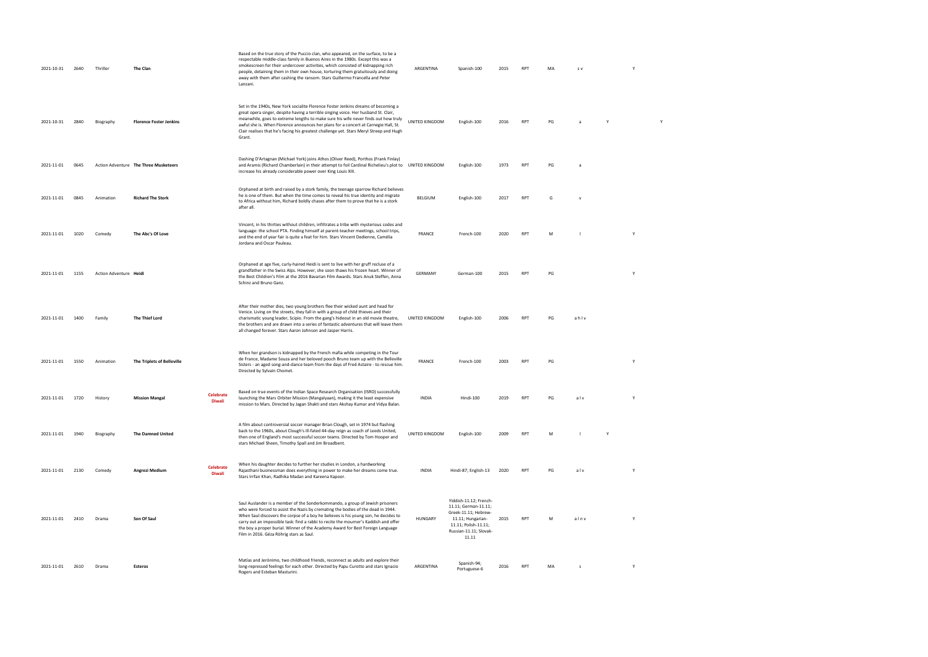| 2021-10-31 | 2640 | Thriller               | The Clan                              |                                   | Based on the true story of the Puccio clan, who appeared, on the surface, to be a<br>respectable middle-class family in Buenos Aires in the 1980s. Except this was a<br>smokescreen for their undercover activities, which consisted of kidnapping rich<br>people, detaining them in their own house, torturing them gratuitously and doing<br>away with them after cashing the ransom. Stars Guillermo Francella and Peter<br>Lanzani.                                        | ARGENTINA      | Spanish-100                                                                                                                                            | 2015 | <b>RPT</b>      | MA | s v  |              | Y |  |
|------------|------|------------------------|---------------------------------------|-----------------------------------|--------------------------------------------------------------------------------------------------------------------------------------------------------------------------------------------------------------------------------------------------------------------------------------------------------------------------------------------------------------------------------------------------------------------------------------------------------------------------------|----------------|--------------------------------------------------------------------------------------------------------------------------------------------------------|------|-----------------|----|------|--------------|---|--|
| 2021-10-31 | 2840 | Biography              | <b>Florence Foster Jenkins</b>        |                                   | Set in the 1940s, New York socialite Florence Foster Jenkins dreams of becoming a<br>great opera singer, despite having a terrible singing voice. Her husband St. Clair,<br>meanwhile, goes to extreme lengths to make sure his wife never finds out how truly<br>awful she is. When Florence announces her plans for a concert at Carnegie Hall, St.<br>Clair realises that he's facing his greatest challenge yet. Stars Meryl Streep and Hugh<br>Grant.                     | UNITED KINGDOM | English-100                                                                                                                                            | 2016 | <b>RPT</b>      | PG |      | $\mathsf{Y}$ |   |  |
| 2021-11-01 | 0645 |                        | Action Adventure The Three Musketeers |                                   | Dashing D'Artagnan (Michael York) joins Athos (Oliver Reed), Porthos (Frank Finlay)<br>and Aramis (Richard Chamberlain) in their attempt to foil Cardinal Richelieu's plot to UNITED KINGDOM<br>increase his already considerable power over King Louis XIII.                                                                                                                                                                                                                  |                | English-100                                                                                                                                            | 1973 | RPT             | PG |      |              |   |  |
| 2021-11-01 | 0845 | Animation              | <b>Richard The Stork</b>              |                                   | Orphaned at birth and raised by a stork family, the teenage sparrow Richard believes<br>he is one of them. But when the time comes to reveal his true identity and migrate<br>to Africa without him, Richard boldly chases after them to prove that he is a stork<br>after all.                                                                                                                                                                                                | BELGIUM        | English-100                                                                                                                                            | 2017 | <b>RPT</b>      | G  |      |              |   |  |
| 2021-11-01 | 1020 | Comedy                 | The Abc's Of Love                     |                                   | Vincent, in his thirties without children, infiltrates a tribe with mysterious codes and<br>language: the school PTA. Finding himself at parent-teacher meetings, school trips,<br>and the end of year fair is quite a feat for him. Stars Vincent Dedienne, Camélia<br>Jordana and Oscar Pauleau.                                                                                                                                                                             | <b>FRANCE</b>  | French-100                                                                                                                                             | 2020 | <b>RPT</b>      | M  |      |              | Y |  |
| 2021-11-01 | 1155 | Action Adventure Heidi |                                       |                                   | Orphaned at age five, curly-haired Heidi is sent to live with her gruff recluse of a<br>grandfather in the Swiss Alps. However, she soon thaws his frozen heart. Winner of<br>the Best Children's Film at the 2016 Bavarian Film Awards. Stars Anuk Steffen, Anna<br>Schinz and Bruno Ganz.                                                                                                                                                                                    | GERMANY        | German-100                                                                                                                                             | 2015 | <b>RPT</b>      | PG |      |              | Y |  |
| 2021-11-01 | 1400 | Family                 | The Thief Lord                        |                                   | After their mother dies, two young brothers flee their wicked aunt and head for<br>Venice. Living on the streets, they fall in with a group of child thieves and their<br>charismatic young leader, Scipio. From the gang's hideout in an old movie theatre,<br>the brothers and are drawn into a series of fantastic adventures that will leave them<br>all changed forever. Stars Aaron Johnson and Jasper Harris.                                                           | UNITED KINGDOM | English-100                                                                                                                                            | 2006 | RP <sub>1</sub> | PG | ahlv |              |   |  |
| 2021-11-01 | 1550 | Animation              | The Triplets of Belleville            |                                   | When her grandson is kidnapped by the French mafia while competing in the Tour<br>de France, Madame Souza and her beloved pooch Bruno team up with the Belleville<br>Sisters - an aged song-and-dance team from the days of Fred Astaire - to rescue him.<br>Directed by Sylvain Chomet.                                                                                                                                                                                       | <b>FRANCE</b>  | French-100                                                                                                                                             | 2003 | <b>RPT</b>      | PG |      |              | Y |  |
| 2021-11-01 | 1720 | History                | <b>Mission Mangal</b>                 | <b>Celebrate</b>                  | Based on true events of the Indian Space Research Organisation (ISRO) successfully<br>launching the Mars Orbiter Mission (Mangalyaan), making it the least expensive<br>mission to Mars. Directed by Jagan Shakti and stars Akshay Kumar and Vidya Balan.                                                                                                                                                                                                                      | <b>INDIA</b>   | Hindi-100                                                                                                                                              | 2019 | <b>RPT</b>      | PG | alv  |              | Y |  |
| 2021-11-01 | 1940 | Biography              | <b>The Damned United</b>              |                                   | A film about controversial soccer manager Brian Clough, set in 1974 but flashing<br>back to the 1960s, about Clough's ill-fated 44-day reign as coach of Leeds United,<br>then one of England's most successful soccer teams. Directed by Tom Hooper and<br>stars Michael Sheen, Timothy Spall and Jim Broadbent.                                                                                                                                                              | UNITED KINGDOM | English-100                                                                                                                                            | 2009 | RPT             | M  |      | Y            |   |  |
| 2021-11-01 | 2130 | Comedy                 | Angrezi Medium                        | <b>Celebrate</b><br><b>Diwali</b> | When his daughter decides to further her studies in London, a hardworking<br>Rajasthani businessman does everything in power to make her dreams come true.<br>Stars Irrfan Khan, Radhika Madan and Kareena Kapoor.                                                                                                                                                                                                                                                             | <b>INDIA</b>   | Hindi-87; English-13                                                                                                                                   | 2020 | <b>RPT</b>      | PG | alv  |              | Y |  |
| 2021-11-01 | 2410 | Drama                  | Son Of Saul                           |                                   | Saul Auslander is a member of the Sonderkommando, a group of Jewish prisoners<br>who were forced to assist the Nazis by cremating the bodies of the dead in 1944.<br>When Saul discovers the corpse of a boy he believes is his young son, he decides to<br>carry out an impossible task: find a rabbi to recite the mourner's Kaddish and offer<br>the boy a proper burial. Winner of the Academy Award for Best Foreign Language<br>Film in 2016. Géza Röhrig stars as Saul. | HUNGARY        | Yiddish-11.12; French-<br>11.11; German-11.11;<br>Greek-11.11; Hebrew-<br>11.11; Hungarian-<br>11.11; Polish-11.11;<br>Russian-11.11; Slovak-<br>11.11 | 2015 | RPT             | M  | alnv |              | Y |  |
| 2021-11-01 | 2610 | Drama                  | Esteros                               |                                   | Matías and Jerónimo, two childhood friends, reconnect as adults and explore their<br>long-repressed feelings for each other. Directed by Papu Curotto and stars Ignacio<br>Rogers and Esteban Masturini.                                                                                                                                                                                                                                                                       | ARGENTINA      | Spanish-94;<br>Portuguese-6                                                                                                                            | 2016 | <b>RPT</b>      | MA | - S  |              | Y |  |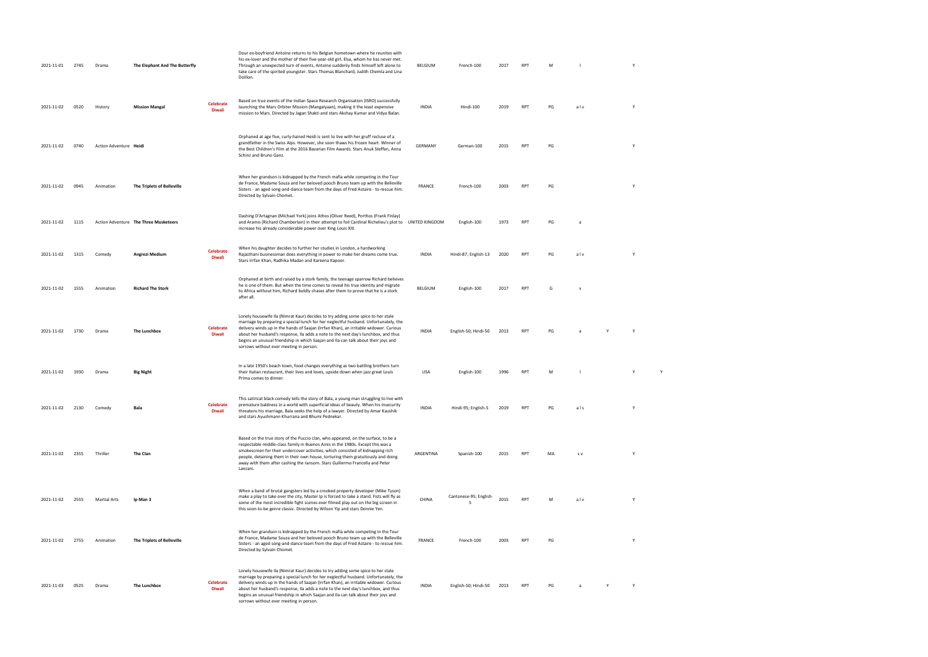| 2021-11-01 | 2745  | Drama                  | The Elephant And The Butterfly        |                            | Dour ex-boyfriend Antoine returns to his Belgian hometown where he reunites with<br>his ex-lover and the mother of their five-year-old girl, Elsa, whom he has never met.<br>Through an unexpected turn of events, Antoine suddenly finds himself left alone to<br>take care of the spirited youngster. Stars Thomas Blanchard, Judith Chemla and Lina<br>Doillon.                                                                                                                       | BELGIUM      | French-100                   | 2017 | <b>RPT</b> | M  |             | Y |   |  |  |
|------------|-------|------------------------|---------------------------------------|----------------------------|------------------------------------------------------------------------------------------------------------------------------------------------------------------------------------------------------------------------------------------------------------------------------------------------------------------------------------------------------------------------------------------------------------------------------------------------------------------------------------------|--------------|------------------------------|------|------------|----|-------------|---|---|--|--|
| 2021-11-02 | 0520  | History                | <b>Mission Mangal</b>                 | <b>Celebrate</b><br>Diwali | Based on true events of the Indian Space Research Organisation (ISRO) successfully<br>launching the Mars Orbiter Mission (Mangalyaan), making it the least expensive<br>mission to Mars. Directed by Jagan Shakti and stars Akshay Kumar and Vidya Balan.                                                                                                                                                                                                                                | <b>INDIA</b> | Hindi-100                    | 2019 | <b>RPT</b> | PG | alv         | Y |   |  |  |
| 2021-11-02 | 0740  | Action Adventure Heidi |                                       |                            | Orphaned at age five, curly-haired Heidi is sent to live with her gruff recluse of a<br>grandfather in the Swiss Alps. However, she soon thaws his frozen heart. Winner of<br>the Best Children's Film at the 2016 Bavarian Film Awards. Stars Anuk Steffen, Anna<br>Schinz and Bruno Ganz.                                                                                                                                                                                              | GERMANY      | German-100                   | 2015 | <b>RPT</b> | PG |             | Y |   |  |  |
| 2021-11-02 | 0945  | Animation              | The Triplets of Belleville            |                            | When her grandson is kidnapped by the French mafia while competing in the Tour<br>de France, Madame Souza and her beloved pooch Bruno team up with the Belleville<br>Sisters - an aged song-and-dance team from the days of Fred Astaire - to rescue him.<br>Directed by Sylvain Chomet.                                                                                                                                                                                                 | FRANCE       | French-100                   | 2003 | <b>RPT</b> | PG |             | Y |   |  |  |
| 2021-11-02 | 1115  |                        | Action Adventure The Three Musketeers |                            | Dashing D'Artagnan (Michael York) joins Athos (Oliver Reed), Porthos (Frank Finlay)<br>and Aramis (Richard Chamberlain) in their attempt to foil Cardinal Richelieu's plot to UNITED KINGDOM<br>increase his already considerable power over King Louis XIII.                                                                                                                                                                                                                            |              | English-100                  | 1973 | <b>RPT</b> | PG | a           |   |   |  |  |
| 2021-11-02 | 1315  | Comedy                 | Angrezi Medium                        | <b>Celebrate</b><br>Diwali | When his daughter decides to further her studies in London, a hardworking<br>Rajasthani businessman does everything in power to make her dreams come true.<br>Stars Irrfan Khan, Radhika Madan and Kareena Kapoor.                                                                                                                                                                                                                                                                       | INDIA        | Hindi-87; English-13         | 2020 | <b>RPT</b> | PG | alv         | Y |   |  |  |
| 2021-11-02 | 1555  | Animation              | <b>Richard The Stork</b>              |                            | Orphaned at birth and raised by a stork family, the teenage sparrow Richard believes<br>he is one of them. But when the time comes to reveal his true identity and migrate<br>to Africa without him, Richard boldly chases after them to prove that he is a stork<br>after all.                                                                                                                                                                                                          | BELGIUM      | English-100                  | 2017 | <b>RPT</b> | G  | $\mathbf v$ |   |   |  |  |
| 2021-11-02 | 1730  | Drama                  | The Lunchbox                          | <b>Celebrate</b><br>Diwali | Lonely housewife Ila (Nimrat Kaur) decides to try adding some spice to her stale<br>marriage by preparing a special lunch for her neglectful husband. Unfortunately, the<br>delivery winds up in the hands of Saajan (Irrfan Khan), an irritable widower. Curious<br>about her husband's response, Ila adds a note to the next day's lunchbox, and thus<br>begins an unusual friendship in which Saajan and Ila can talk about their joys and<br>sorrows without ever meeting in person. | <b>INDIA</b> | English-50; Hindi-50         | 2013 | <b>RPT</b> | PG | a           | Y |   |  |  |
| 2021-11-02 | 1930  | Drama                  | <b>Big Night</b>                      |                            | In a late 1950's beach town, food changes everything as two battling brothers turn<br>their Italian restaurant, their lives and loves, upside down when jazz great Louis<br>Prima comes to dinner.                                                                                                                                                                                                                                                                                       | USA          | English-100                  | 1996 | <b>RPT</b> | M  | - 1         |   | Y |  |  |
| 2021-11-02 | -2130 |                        |                                       | <b>Celebrate</b><br>Diwali | This satirical black comedy tells the story of Bala, a young man struggling to live with<br>premature baldness in a world with superficial ideas of beauty. When his insecurity<br>threatens his marriage, Bala seeks the help of a lawyer. Directed by Amar Kaushik<br>and stars Ayushmann Khurrana and Bhumi Pednekar.                                                                                                                                                                 | <b>INDIA</b> | Hindi-95; English-5          |      |            |    | als         |   |   |  |  |
| 2021-11-02 | 2355  | Thriller               | The Clan                              |                            | Based on the true story of the Puccio clan, who appeared, on the surface, to be a<br>respectable middle-class family in Buenos Aires in the 1980s. Except this was a<br>smokescreen for their undercover activities, which consisted of kidnapping rich<br>people, detaining them in their own house, torturing them gratuitously and doing<br>away with them after cashing the ransom. Stars Guillermo Francella and Peter<br>Lanzani.                                                  | ARGENTINA    | Spanish-100                  | 2015 | <b>RPT</b> | MA | S V         | Y |   |  |  |
| 2021-11-02 | 2555  | <b>Martial Arts</b>    | Ip Man 3                              |                            | When a band of brutal gangsters led by a crooked property developer (Mike Tyson)<br>make a play to take over the city, Master Ip is forced to take a stand. Fists will fly as<br>some of the most incredible fight scenes ever filmed play out on the big screen in<br>this soon-to-be genre classic. Directed by Wilson Yip and stars Donnie Yen.                                                                                                                                       | CHINA        | Cantonese-95; English-<br>-5 | 2015 | <b>RPT</b> | M  | alv         | Y |   |  |  |
| 2021-11-02 | 2755  | Animation              | The Triplets of Belleville            |                            | When her grandson is kidnapped by the French mafia while competing in the Tour<br>de France, Madame Souza and her beloved pooch Bruno team up with the Belleville<br>Sisters - an aged song-and-dance team from the days of Fred Astaire - to rescue him.<br>Directed by Sylvain Chomet.                                                                                                                                                                                                 | FRANCE       | French-100                   | 2003 | <b>RPT</b> | PG |             | Y |   |  |  |
| 2021-11-03 | 0525  | Drama                  | The Lunchbox                          | <b>Celebrate</b><br>Diwali | Lonely housewife Ila (Nimrat Kaur) decides to try adding some spice to her stale<br>marriage by preparing a special lunch for her neglectful husband. Unfortunately, the<br>delivery winds up in the hands of Saajan (Irrfan Khan), an irritable widower. Curious<br>about her husband's response, Ila adds a note to the next day's lunchbox, and thus<br>begins an unusual friendship in which Saajan and Ila can talk about their joys and<br>sorrows without ever meeting in person. | <b>INDIA</b> | English-50; Hindi-50         | 2013 | <b>RPT</b> | PG | <b>a</b>    | Y |   |  |  |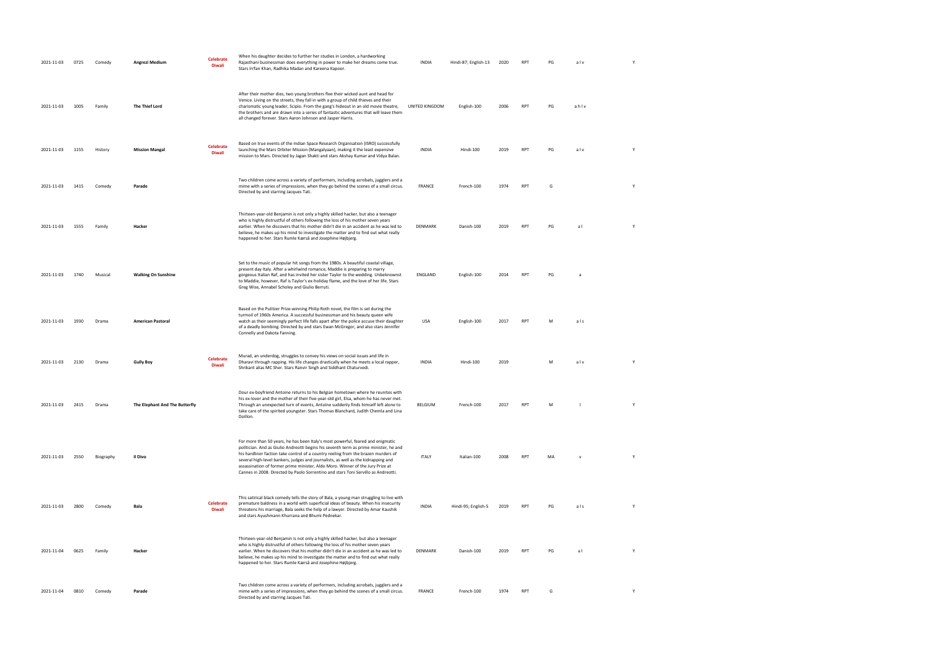| 2021-11-03 | 0725 | Comedy    | Angrezi Medium                 | <b>Celebrate</b><br><b>Diwali</b> | When his daughter decides to further her studies in London, a hardworking<br>Rajasthani businessman does everything in power to make her dreams come true.<br>Stars Irrfan Khan, Radhika Madan and Kareena Kapoor.                                                                                                                                                                                                                                                                                                          | <b>INDIA</b>   | Hindi-87; English-13 | 2020 | <b>RPT</b> | PG | alv          |   |  |
|------------|------|-----------|--------------------------------|-----------------------------------|-----------------------------------------------------------------------------------------------------------------------------------------------------------------------------------------------------------------------------------------------------------------------------------------------------------------------------------------------------------------------------------------------------------------------------------------------------------------------------------------------------------------------------|----------------|----------------------|------|------------|----|--------------|---|--|
| 2021-11-03 | 1005 | Family    | The Thief Lord                 |                                   | After their mother dies, two young brothers flee their wicked aunt and head for<br>Venice. Living on the streets, they fall in with a group of child thieves and their<br>charismatic young leader, Scipio. From the gang's hideout in an old movie theatre,<br>the brothers and are drawn into a series of fantastic adventures that will leave them<br>all changed forever. Stars Aaron Johnson and Jasper Harris.                                                                                                        | UNITED KINGDOM | English-100          | 2006 | <b>RPT</b> | PG | ahlv         |   |  |
| 2021-11-03 | 1155 | History   | <b>Mission Mangal</b>          | <b>Celebrate</b><br><b>Diwali</b> | Based on true events of the Indian Space Research Organisation (ISRO) successfully<br>launching the Mars Orbiter Mission (Mangalyaan), making it the least expensive<br>mission to Mars. Directed by Jagan Shakti and stars Akshay Kumar and Vidya Balan.                                                                                                                                                                                                                                                                   | <b>INDIA</b>   | Hindi-100            | 2019 | <b>RPT</b> | PG | alv          | Y |  |
| 2021-11-03 | 1415 | Comedy    | Parade                         |                                   | Two children come across a variety of performers, including acrobats, jugglers and a<br>mime with a series of impressions, when they go behind the scenes of a small circus.<br>Directed by and starring Jacques Tati.                                                                                                                                                                                                                                                                                                      | <b>FRANCE</b>  | French-100           | 1974 | <b>RPT</b> | G  |              | Y |  |
| 2021-11-03 | 1555 | Family    | Hacker                         |                                   | Thirteen-year-old Benjamin is not only a highly skilled hacker, but also a teenager<br>who is highly distrustful of others following the loss of his mother seven years<br>earlier. When he discovers that his mother didn't die in an accident as he was led to<br>believe, he makes up his mind to investigate the matter and to find out what really<br>happened to her. Stars Rumle Kærså and Josephine Højbjerg.                                                                                                       | DENMARK        | Danish-100           | 2019 | <b>RPT</b> | PG | al           | Y |  |
| 2021-11-03 | 1740 | Musical   | <b>Walking On Sunshine</b>     |                                   | Set to the music of popular hit songs from the 1980s. A beautiful coastal village,<br>present day Italy. After a whirlwind romance, Maddie is preparing to marry<br>gorgeous Italian Raf, and has invited her sister Taylor to the wedding. Unbeknownst<br>to Maddie, however, Raf is Taylor's ex-holiday flame, and the love of her life. Stars<br>Greg Wise, Annabel Scholey and Giulio Berruti.                                                                                                                          | ENGLAND        | English-100          | 2014 | <b>RPT</b> | PG | a            |   |  |
| 2021-11-03 | 1930 | Drama     | <b>American Pastoral</b>       |                                   | Based on the Pulitzer Prize-winning Philip Roth novel, the film is set during the<br>turmoil of 1960s America. A successful businessman and his beauty queen wife<br>watch as their seemingly perfect life falls apart after the police accuse their daughter<br>of a deadly bombing. Directed by and stars Ewan McGregor, and also stars Jennifer<br>Connelly and Dakota Fanning.                                                                                                                                          | USA            | English-100          | 2017 | <b>RPT</b> | M  | als          |   |  |
| 2021-11-03 | 2130 | Drama     | <b>Gully Boy</b>               | <b>Celebrate</b><br><b>Diwali</b> | Murad, an underdog, struggles to convey his views on social issues and life in<br>Dharavi through rapping. His life changes drastically when he meets a local rapper,<br>Shrikant alias MC Sher. Stars Ranvir Singh and Siddhant Chaturvedi.                                                                                                                                                                                                                                                                                | <b>INDIA</b>   | Hindi-100            | 2019 |            | M  | alv          |   |  |
| 2021-11-03 | 2415 | Drama     | The Elephant And The Butterfly |                                   | Dour ex-boyfriend Antoine returns to his Belgian hometown where he reunites with<br>his ex-lover and the mother of their five-year-old girl, Elsa, whom he has never met.<br>Through an unexpected turn of events, Antoine suddenly finds himself left alone to<br>take care of the spirited youngster. Stars Thomas Blanchard, Judith Chemla and Lina<br>Doillon.                                                                                                                                                          | <b>BELGIUM</b> | French-100           | 2017 |            |    |              |   |  |
| 2021-11-03 | 2550 | Biography | Il Divo                        |                                   | For more than 50 years, he has been Italy's most powerful, feared and enigmatic<br>politician. And as Giulio Andreotti begins his seventh term as prime minister, he and<br>his hardliner faction take control of a country reeling from the brazen murders of<br>several high-level bankers, judges and journalists, as well as the kidnapping and<br>assassination of former prime minister, Aldo Moro. Winner of the Jury Prize at<br>Cannes in 2008. Directed by Paolo Sorrentino and stars Toni Servillo as Andreotti. | <b>ITALY</b>   | Italian-100          | 2008 | <b>RPT</b> | MA | $\mathsf{v}$ | Υ |  |
| 2021-11-03 | 2800 | Comedy    | Bala                           | <b>Celebrate</b><br><b>Diwali</b> | This satirical black comedy tells the story of Bala, a young man struggling to live with<br>premature baldness in a world with superficial ideas of beauty. When his insecurity<br>threatens his marriage, Bala seeks the help of a lawyer. Directed by Amar Kaushik<br>and stars Ayushmann Khurrana and Bhumi Pednekar.                                                                                                                                                                                                    | <b>INDIA</b>   | Hindi-95; English-5  | 2019 | RPT        | PG | als          | Υ |  |
| 2021-11-04 | 0625 | Family    | Hacker                         |                                   | Thirteen-year-old Benjamin is not only a highly skilled hacker, but also a teenager<br>who is highly distrustful of others following the loss of his mother seven years<br>earlier. When he discovers that his mother didn't die in an accident as he was led to<br>believe, he makes up his mind to investigate the matter and to find out what really<br>happened to her. Stars Rumle Kærså and Josephine Højbjerg.                                                                                                       | DENMARK        | Danish-100           | 2019 | <b>RPT</b> | PG | al           | Υ |  |
| 2021-11-04 | 0810 | Comedy    | Parade                         |                                   | Two children come across a variety of performers, including acrobats, jugglers and a<br>mime with a series of impressions, when they go behind the scenes of a small circus.<br>Directed by and starring Jacques Tati.                                                                                                                                                                                                                                                                                                      | <b>FRANCE</b>  | French-100           | 1974 | <b>RPT</b> | G  |              | Υ |  |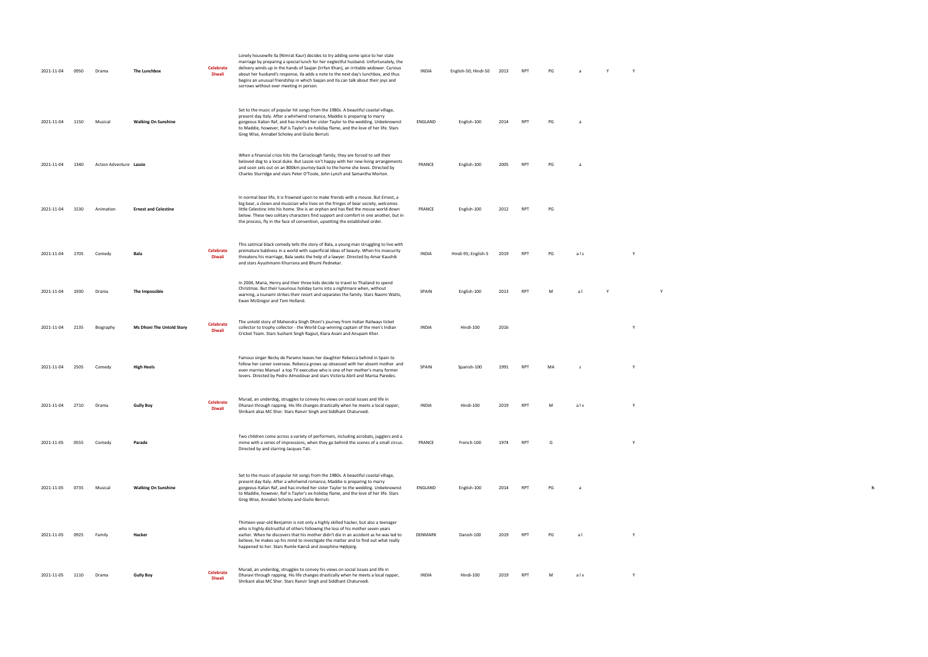| 2021-11-04      | 0950 | Drama                   | The Lunchbox                     | <b>Celebrate</b><br>Diwali        | Lonely housewife Ila (Nimrat Kaur) decides to try adding some spice to her stale<br>marriage by preparing a special lunch for her neglectful husband. Unfortunately, the<br>delivery winds up in the hands of Saajan (Irrfan Khan), an irritable widower. Curious<br>about her husband's response, Ila adds a note to the next day's lunchbox, and thus<br>begins an unusual friendship in which Saajan and Ila can talk about their joys and<br>sorrows without ever meeting in person. | <b>INDIA</b>  | English-50; Hindi-50 | 2013 | RPT        | PG |     |              |  |  |  |
|-----------------|------|-------------------------|----------------------------------|-----------------------------------|------------------------------------------------------------------------------------------------------------------------------------------------------------------------------------------------------------------------------------------------------------------------------------------------------------------------------------------------------------------------------------------------------------------------------------------------------------------------------------------|---------------|----------------------|------|------------|----|-----|--------------|--|--|--|
| 2021-11-04      | 1150 | Musical                 | <b>Walking On Sunshine</b>       |                                   | Set to the music of popular hit songs from the 1980s. A beautiful coastal village,<br>present day Italy. After a whirlwind romance, Maddie is preparing to marry<br>gorgeous Italian Raf, and has invited her sister Taylor to the wedding. Unbeknownst<br>to Maddie, however, Raf is Taylor's ex-holiday flame, and the love of her life. Stars<br>Greg Wise, Annabel Scholey and Giulio Berruti.                                                                                       | ENGLAND       | English-100          | 2014 | <b>RPT</b> | PG | a   |              |  |  |  |
| 2021-11-04      | 1340 | Action Adventure Lassie |                                  |                                   | When a financial crisis hits the Carraclough family, they are forced to sell their<br>beloved dog to a local duke. But Lassie isn't happy with her new living arrangements<br>and soon sets out on an 800km journey back to the home she loves. Directed by<br>Charles Sturridge and stars Peter O'Toole, John Lynch and Samantha Morton.                                                                                                                                                | <b>FRANCE</b> | English-100          |      |            |    |     |              |  |  |  |
| 2021-11-04      | 1530 | Animation               | <b>Ernest and Celestine</b>      |                                   | In normal bear life, it is frowned upon to make friends with a mouse. But Ernest, a<br>big bear, a clown and musician who lives on the fringes of bear society, welcomes<br>little Celestine into his home. She is an orphan and has fled the mouse world down<br>below. These two solitary characters find support and comfort in one another, but in<br>the process, fly in the face of convention, upsetting the established order.                                                   | FRANCE        | English-100          | 2012 | RPT        | PG |     |              |  |  |  |
| 2021-11-04      | 1705 | Comedy                  | Bala                             | <b>Celebrate</b><br>Diwali        | This satirical black comedy tells the story of Bala, a young man struggling to live with<br>premature baldness in a world with superficial ideas of beauty. When his insecurity<br>threatens his marriage, Bala seeks the help of a lawyer. Directed by Amar Kaushik<br>and stars Ayushmann Khurrana and Bhumi Pednekar.                                                                                                                                                                 | <b>INDIA</b>  | Hindi-95; English-5  | 2019 | <b>RPT</b> | PG | als | $\mathsf{v}$ |  |  |  |
| 2021-11-04      | 1930 | Drama                   | The Impossible                   |                                   | In 2004, Maria, Henry and their three kids decide to travel to Thailand to spend<br>Christmas. But their luxurious holiday turns into a nightmare when, without<br>warning, a tsunami strikes their resort and separates the family. Stars Naomi Watts,<br>Ewan McGregor and Tom Holland.                                                                                                                                                                                                | SPAIN         | English-100          | 2013 | RPT        | M  | al  |              |  |  |  |
| 2021-11-04      | 2135 | Biography               | <b>Ms Dhoni The Untold Story</b> | <b>Celebrate</b><br><b>Diwali</b> | The untold story of Mahendra Singh Dhoni's journey from Indian Railways ticket<br>collector to trophy collector - the World Cup-winning captain of the men's Indian<br>Cricket Team. Stars Sushant Singh Rajput, Kiara Avani and Anupam Kher.                                                                                                                                                                                                                                            | <b>INDIA</b>  | Hindi-100            | 2016 |            |    |     |              |  |  |  |
| 2021-11-04      |      | Comedy                  | High Heels                       |                                   | Famous singer Becky de Paramo leaves her daughter Rebecca behind in Spain to<br>follow her career overseas. Rebecca grows up obsessed with her absent mother and<br>even marries Manuel a top TV executive who is one of her mother's many former<br>lovers. Directed by Pedro Almodóvar and stars Victoria Abril and Marisa Paredes.                                                                                                                                                    | SPAIN         | Spanish-100          | 1991 | <b>RP</b>  |    |     |              |  |  |  |
| 2021-11-04 2710 |      | Drama                   | <b>Gully Boy</b>                 | <b>Celebrate</b><br><b>Diwali</b> | Murad, an underdog, struggles to convey his views on social issues and life in<br>Dharavi through rapping. His life changes drastically when he meets a local rapper,<br>Shrikant alias MC Sher. Stars Ranvir Singh and Siddhant Chaturvedi.                                                                                                                                                                                                                                             | <b>INDIA</b>  | Hindi-100            | 2019 | RPT        | M  | alv | Y            |  |  |  |
| 2021-11-05      | 0555 | Comedy                  | Parade                           |                                   | Two children come across a variety of performers, including acrobats, jugglers and a<br>mime with a series of impressions, when they go behind the scenes of a small circus.<br>Directed by and starring Jacques Tati.                                                                                                                                                                                                                                                                   | FRANCE        | French-100           | 1974 | RPT        | G  |     |              |  |  |  |
| 2021-11-05      | 0735 | Musical                 | <b>Walking On Sunshine</b>       |                                   | Set to the music of popular hit songs from the 1980s. A beautiful coastal village,<br>present day Italy. After a whirlwind romance, Maddie is preparing to marry<br>gorgeous Italian Raf, and has invited her sister Taylor to the wedding. Unbeknownst<br>to Maddie, however, Raf is Taylor's ex-holiday flame, and the love of her life. Stars<br>Greg Wise, Annabel Scholey and Giulio Berruti.                                                                                       | ENGLAND       | English-100          | 2014 | <b>RPT</b> | PG |     |              |  |  |  |
| 2021-11-05      | 0925 | Family                  | Hacker                           |                                   | Thirteen-year-old Benjamin is not only a highly skilled hacker, but also a teenager<br>who is highly distrustful of others following the loss of his mother seven years<br>earlier. When he discovers that his mother didn't die in an accident as he was led to<br>believe, he makes up his mind to investigate the matter and to find out what really<br>happened to her. Stars Rumle Kærså and Josephine Højbjerg.                                                                    | DENMARK       | Danish-100           | 2019 | <b>RPT</b> | PG | a l |              |  |  |  |
| 2021-11-05 1110 |      | Drama                   | <b>Gully Boy</b>                 | <b>Celebrate</b><br><b>Diwali</b> | Murad, an underdog, struggles to convey his views on social issues and life in<br>Dharavi through rapping. His life changes drastically when he meets a local rapper,<br>Shrikant alias MC Sher. Stars Ranvir Singh and Siddhant Chaturvedi.                                                                                                                                                                                                                                             | <b>INDIA</b>  | Hindi-100            | 2019 | <b>RPT</b> | м  | alv |              |  |  |  |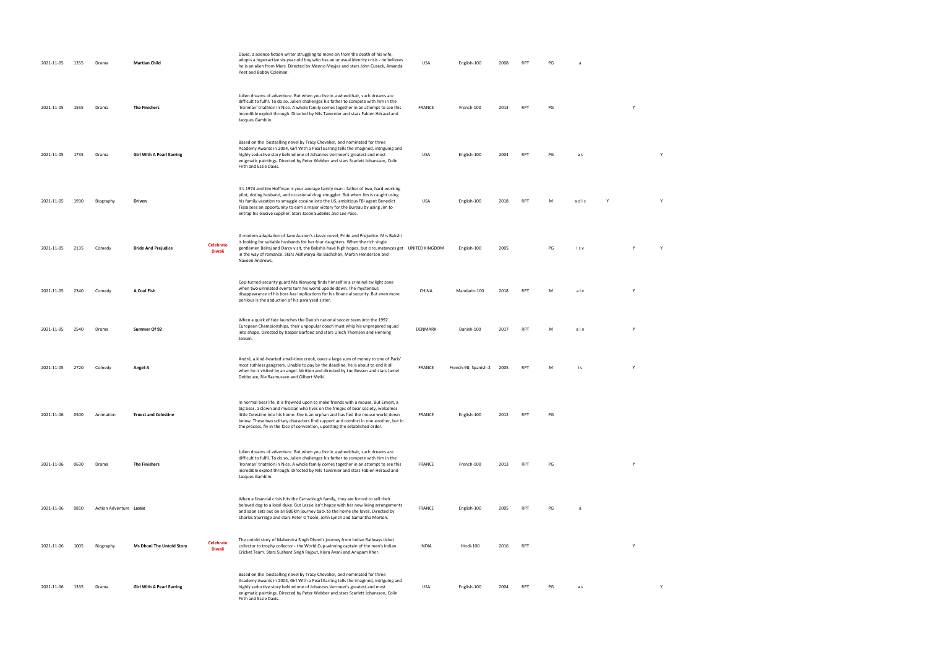| 2021-11-05 | 1355 | Drama                   | <b>Martian Child</b>             |                                   | David, a science fiction writer struggling to move on from the death of his wife,<br>adopts a hyperactive six-year-old boy who has an unusual identity crisis - he believes<br>he is an alien from Mars. Directed by Menno Meyjes and stars John Cusack, Amanda<br>Peet and Bobby Coleman.                                                                                                                                             | USA           | English-100          | 2008 | <b>RPT</b> | PG | a              |   |   |  |
|------------|------|-------------------------|----------------------------------|-----------------------------------|----------------------------------------------------------------------------------------------------------------------------------------------------------------------------------------------------------------------------------------------------------------------------------------------------------------------------------------------------------------------------------------------------------------------------------------|---------------|----------------------|------|------------|----|----------------|---|---|--|
| 2021-11-05 | 1555 | Drama                   | <b>The Finishers</b>             |                                   | Julien dreams of adventure. But when you live in a wheelchair, such dreams are<br>difficult to fulfil. To do so, Julien challenges his father to compete with him in the<br>'Ironman' triathlon in Nice. A whole family comes together in an attempt to see this<br>incredible exploit through. Directed by Nils Tavernier and stars Fabien Héraud and<br>Jacques Gamblin.                                                             | <b>FRANCE</b> | French-100           | 2013 | <b>RPT</b> | PG |                |   |   |  |
| 2021-11-05 | 1735 | Drama                   | <b>Girl With A Pearl Earring</b> |                                   | Based on the bestselling novel by Tracy Chevalier, and nominated for three<br>Academy Awards in 2004, Girl With a Pearl Earring tells the imagined, intriguing and<br>highly seductive story behind one of Johannes Vermeer's greatest and most<br>enigmatic paintings. Directed by Peter Webber and stars Scarlett Johansson, Colin<br>Firth and Essie Davis.                                                                         | USA           | English-100          | 2004 | <b>RPT</b> | PG | a s            |   | Y |  |
| 2021-11-05 | 1930 | Biography               | Driven                           |                                   | It's 1974 and Jim Hoffman is your average family man - father of two, hard-working<br>pilot, doting husband, and occasional drug smuggler. But when Jim is caught using<br>his family vacation to smuggle cocaine into the US, ambitious FBI agent Benedict<br>Tissa sees an opportunity to earn a major victory for the Bureau by using Jim to<br>entrap his elusive supplier. Stars Jason Sudeikis and Lee Pace.                     | USA           | English-100          | 2018 | <b>RPT</b> | M  | adis           |   | Y |  |
| 2021-11-05 | 2135 | Comedy                  | <b>Bride And Prejudice</b>       | <b>Celebrate</b><br>Diwali        | A modern adaptation of Jane Austen's classic novel, Pride and Prejudice. Mrs Bakshi<br>is looking for suitable husbands for her four daughters. When the rich single<br>gentlemen Balraj and Darcy visit, the Bakshis have high hopes, but circumstances get UNITED KINGDOM<br>in the way of romance. Stars Aishwarya Rai Bachchan, Martin Henderson and<br>Naveen Andrews.                                                            |               | English-100          | 2005 |            | PG | Is v           |   | Y |  |
| 2021-11-05 | 2340 | Comedy                  | A Cool Fish                      |                                   | Cop-turned-security guard Ma Xianyong finds himself in a criminal twilight zone<br>when two unrelated events turn his world upside down. The mysterious<br>disappearance of his boss has implications for his financial security. But even more<br>perilous is the abduction of his paralysed sister.                                                                                                                                  | CHINA         | Mandarin-100         | 2018 | <b>RPT</b> | M  | alv            | Y |   |  |
| 2021-11-05 | 2540 | Drama                   | Summer Of 92                     |                                   | When a quirk of fate launches the Danish national soccer team into the 1992<br>European Championships, their unpopular coach must whip his unprepared squad<br>into shape. Directed by Kasper Barfoed and stars Ulrich Thomsen and Henning<br>Jensen.                                                                                                                                                                                  | DENMARK       | Danish-100           | 2017 | <b>RPT</b> | M  | aln            | Y |   |  |
| 2021-11-05 | 2720 | Comedy                  | Angel-A                          |                                   | André, a kind-hearted small-time crook, owes a large sum of money to one of Paris'<br>most ruthless gangsters. Unable to pay by the deadline, he is about to end it all<br>when he is visited by an angel. Written and directed by Luc Besson and stars Jamel<br>Debbouze, Rie Rasmussen and Gilbert Melki.                                                                                                                            | FRANCE        | French-98; Spanish-2 | 2005 | <b>RPT</b> | M  | $\mathsf{I}$ s | Y |   |  |
| 2021-11-06 | 0500 | Animation               | <b>Ernest and Celestine</b>      |                                   | In normal bear life, it is frowned upon to make friends with a mouse. But Ernest, a<br>big bear, a clown and musician who lives on the fringes of bear society, welcomes<br>little Celestine into his home. She is an orphan and has fled the mouse world down<br>below. These two solitary characters find support and comfort in one another, but in<br>the process, fly in the face of convention, upsetting the established order. | FRANCE        | English-100          | 2012 | <b>RPT</b> | PG |                |   |   |  |
| 2021-11-06 | 0630 | Drama                   | <b>The Finishers</b>             |                                   | Julien dreams of adventure. But when you live in a wheelchair, such dreams are<br>difficult to fulfil. To do so, Julien challenges his father to compete with him in the<br>'Ironman' triathlon in Nice. A whole family comes together in an attempt to see this<br>incredible exploit through. Directed by Nils Tavernier and stars Fabien Héraud and<br>Jacques Gamblin.                                                             | FRANCE        | French-100           | 2013 | <b>RPT</b> | PG |                | Y |   |  |
| 2021-11-06 | 0810 | Action Adventure Lassie |                                  |                                   | When a financial crisis hits the Carraclough family, they are forced to sell their<br>beloved dog to a local duke. But Lassie isn't happy with her new living arrangements<br>and soon sets out on an 800km journey back to the home she loves. Directed by<br>Charles Sturridge and stars Peter O'Toole, John Lynch and Samantha Morton.                                                                                              | <b>FRANCE</b> | English-100          | 2005 | <b>RPT</b> | PG | a              |   |   |  |
| 2021-11-06 | 1005 | Biography               | <b>Ms Dhoni The Untold Story</b> | <b>Celebrate</b><br><b>Diwali</b> | The untold story of Mahendra Singh Dhoni's journey from Indian Railways ticket<br>collector to trophy collector - the World Cup-winning captain of the men's Indian<br>Cricket Team. Stars Sushant Singh Rajput, Kiara Avani and Anupam Kher.                                                                                                                                                                                          | INDIA         | Hindi-100            | 2016 | <b>RPT</b> |    |                | Y |   |  |
| 2021-11-06 | 1335 | Drama                   | <b>Girl With A Pearl Earring</b> |                                   | Based on the bestselling novel by Tracy Chevalier, and nominated for three<br>Academy Awards in 2004, Girl With a Pearl Earring tells the imagined, intriguing and<br>highly seductive story behind one of Johannes Vermeer's greatest and most<br>enigmatic paintings. Directed by Peter Webber and stars Scarlett Johansson, Colin<br>Firth and Essie Davis.                                                                         | USA           | English-100          | 2004 | RPT        | PG | a s            |   | Y |  |